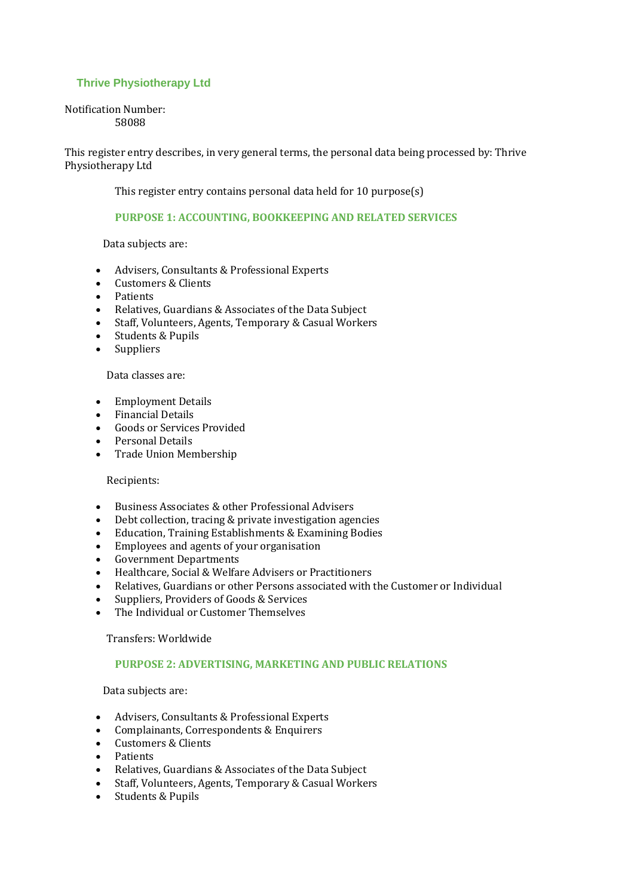# **Thrive Physiotherapy Ltd**

#### Notification Number: 58088

This register entry describes, in very general terms, the personal data being processed by: Thrive Physiotherapy Ltd

This register entry contains personal data held for 10 purpose(s)

# **PURPOSE 1: ACCOUNTING, BOOKKEEPING AND RELATED SERVICES**

Data subjects are:

- Advisers, Consultants & Professional Experts
- Customers & Clients
- Patients
- Relatives, Guardians & Associates of the Data Subject
- Staff, Volunteers, Agents, Temporary & Casual Workers
- Students & Pupils
- Suppliers

#### Data classes are:

- Employment Details
- Financial Details
- Goods or Services Provided
- Personal Details
- Trade Union Membership

#### Recipients:

- Business Associates & other Professional Advisers
- Debt collection, tracing & private investigation agencies
- Education, Training Establishments & Examining Bodies
- Employees and agents of your organisation
- Government Departments
- Healthcare, Social & Welfare Advisers or Practitioners
- Relatives, Guardians or other Persons associated with the Customer or Individual
- Suppliers, Providers of Goods & Services
- The Individual or Customer Themselves

Transfers: Worldwide

### **PURPOSE 2: ADVERTISING, MARKETING AND PUBLIC RELATIONS**

Data subjects are:

- Advisers, Consultants & Professional Experts
- Complainants, Correspondents & Enquirers
- Customers & Clients
- Patients
- Relatives, Guardians & Associates of the Data Subject
- Staff, Volunteers, Agents, Temporary & Casual Workers
- Students & Pupils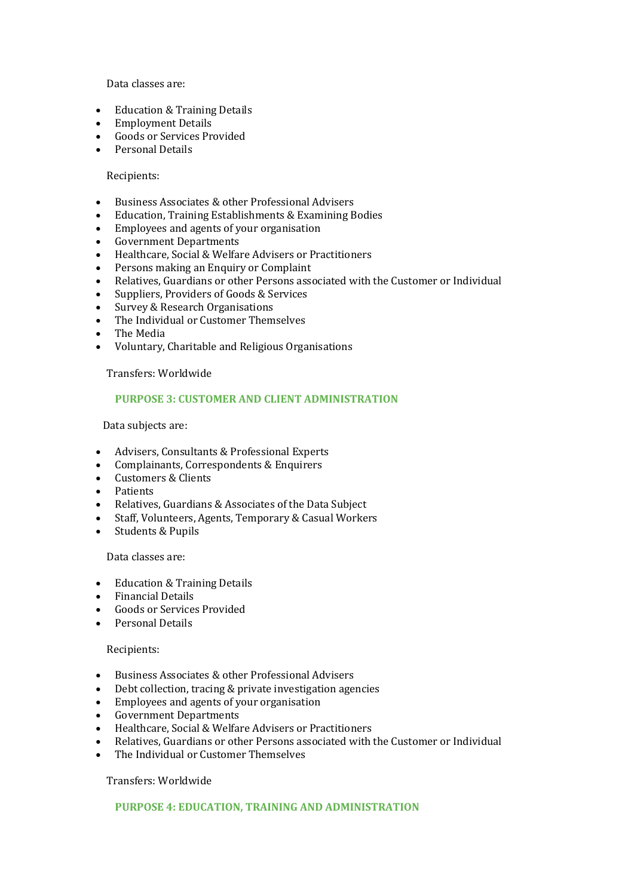Data classes are:

- Education & Training Details
- Employment Details
- Goods or Services Provided
- Personal Details

### Recipients:

- Business Associates & other Professional Advisers
- Education, Training Establishments & Examining Bodies
- Employees and agents of your organisation
- Government Departments
- Healthcare, Social & Welfare Advisers or Practitioners
- Persons making an Enquiry or Complaint
- Relatives, Guardians or other Persons associated with the Customer or Individual
- Suppliers, Providers of Goods & Services
- Survey & Research Organisations
- The Individual or Customer Themselves
- The Media
- Voluntary, Charitable and Religious Organisations

Transfers: Worldwide

#### **PURPOSE 3: CUSTOMER AND CLIENT ADMINISTRATION**

Data subjects are:

- Advisers, Consultants & Professional Experts
- Complainants, Correspondents & Enquirers
- Customers & Clients
- Patients
- Relatives, Guardians & Associates of the Data Subject
- Staff, Volunteers, Agents, Temporary & Casual Workers
- Students & Pupils

# Data classes are:

- Education & Training Details
- Financial Details
- Goods or Services Provided
- Personal Details

### Recipients:

- Business Associates & other Professional Advisers
- Debt collection, tracing & private investigation agencies
- Employees and agents of your organisation
- Government Departments
- Healthcare, Social & Welfare Advisers or Practitioners
- Relatives, Guardians or other Persons associated with the Customer or Individual
- The Individual or Customer Themselves

#### Transfers: Worldwide

# **PURPOSE 4: EDUCATION, TRAINING AND ADMINISTRATION**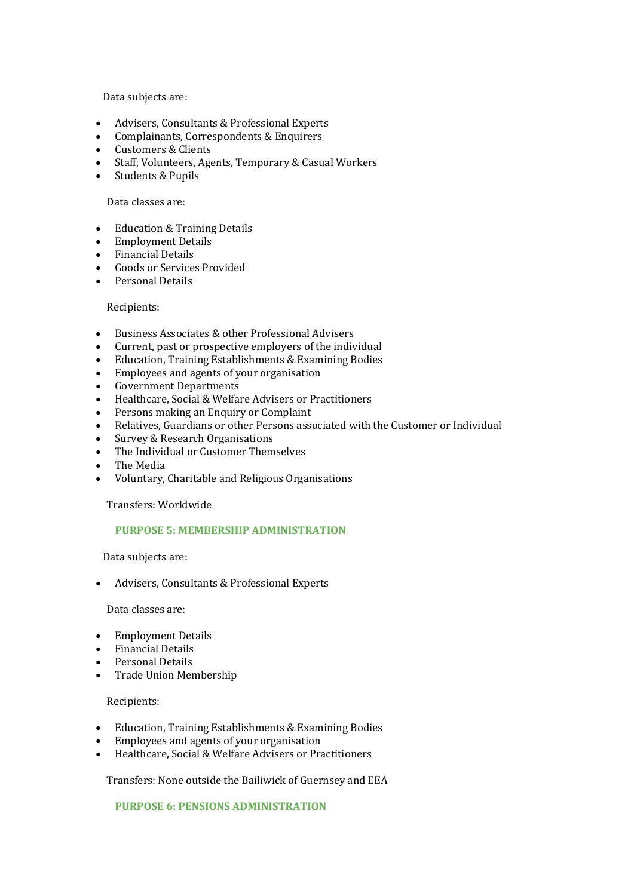Data subjects are:

- Advisers, Consultants & Professional Experts
- Complainants, Correspondents & Enquirers
- Customers & Clients
- Staff, Volunteers, Agents, Temporary & Casual Workers
- Students & Pupils

### Data classes are:

- Education & Training Details
- Employment Details
- Financial Details
- Goods or Services Provided
- Personal Details

# Recipients:

- Business Associates & other Professional Advisers
- Current, past or prospective employers of the individual
- Education, Training Establishments & Examining Bodies
- Employees and agents of your organisation
- Government Departments
- Healthcare, Social & Welfare Advisers or Practitioners
- Persons making an Enquiry or Complaint
- Relatives, Guardians or other Persons associated with the Customer or Individual
- Survey & Research Organisations
- The Individual or Customer Themselves
- The Media
- Voluntary, Charitable and Religious Organisations

Transfers: Worldwide

# **PURPOSE 5: MEMBERSHIP ADMINISTRATION**

Data subjects are:

• Advisers, Consultants & Professional Experts

#### Data classes are:

- Employment Details
- Financial Details
- Personal Details
- Trade Union Membership

### Recipients:

- Education, Training Establishments & Examining Bodies
- Employees and agents of your organisation
- Healthcare, Social & Welfare Advisers or Practitioners

Transfers: None outside the Bailiwick of Guernsey and EEA

**PURPOSE 6: PENSIONS ADMINISTRATION**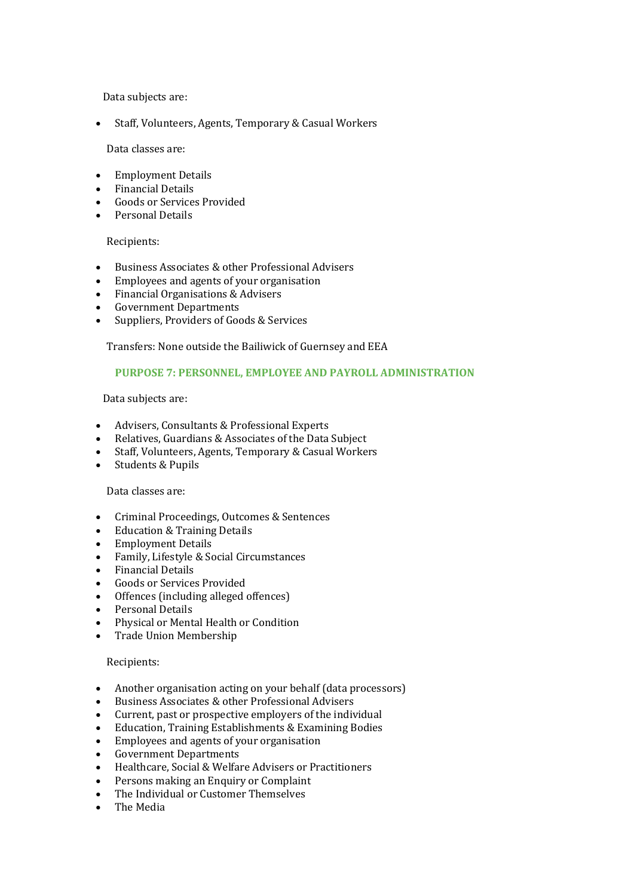Data subjects are:

• Staff, Volunteers, Agents, Temporary & Casual Workers

Data classes are:

- Employment Details
- Financial Details
- Goods or Services Provided
- Personal Details

#### Recipients:

- Business Associates & other Professional Advisers
- Employees and agents of your organisation
- Financial Organisations & Advisers
- Government Departments
- Suppliers, Providers of Goods & Services

Transfers: None outside the Bailiwick of Guernsey and EEA

# **PURPOSE 7: PERSONNEL, EMPLOYEE AND PAYROLL ADMINISTRATION**

Data subjects are:

- Advisers, Consultants & Professional Experts
- Relatives, Guardians & Associates of the Data Subject
- Staff, Volunteers, Agents, Temporary & Casual Workers
- Students & Pupils

### Data classes are:

- Criminal Proceedings, Outcomes & Sentences
- Education & Training Details
- Employment Details
- Family, Lifestyle & Social Circumstances
- Financial Details
- Goods or Services Provided
- Offences (including alleged offences)
- Personal Details
- Physical or Mental Health or Condition
- Trade Union Membership

#### Recipients:

- Another organisation acting on your behalf (data processors)
- Business Associates & other Professional Advisers
- Current, past or prospective employers of the individual
- Education, Training Establishments & Examining Bodies
- Employees and agents of your organisation
- Government Departments
- Healthcare, Social & Welfare Advisers or Practitioners
- Persons making an Enquiry or Complaint
- The Individual or Customer Themselves
- The Media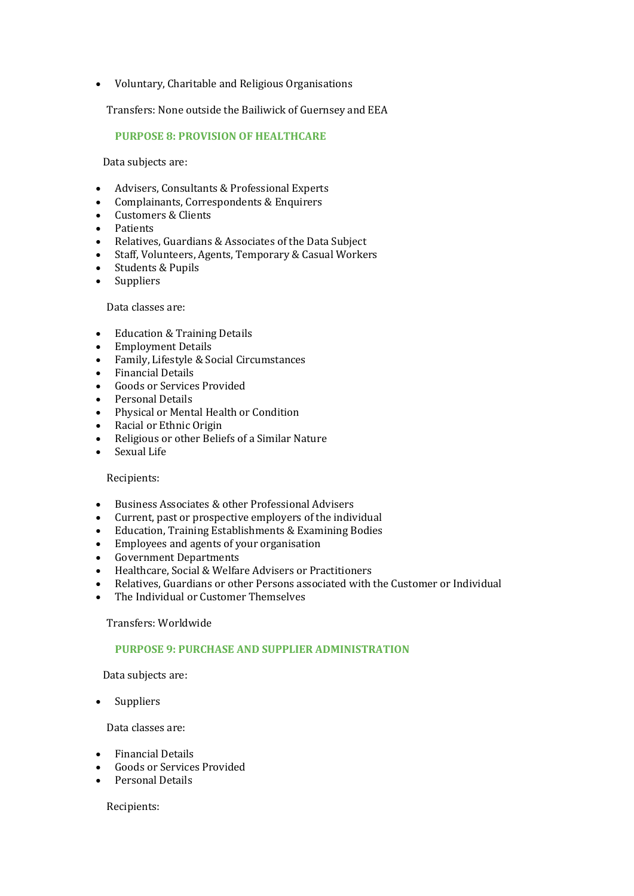• Voluntary, Charitable and Religious Organisations

Transfers: None outside the Bailiwick of Guernsey and EEA

# **PURPOSE 8: PROVISION OF HEALTHCARE**

Data subjects are:

- Advisers, Consultants & Professional Experts
- Complainants, Correspondents & Enquirers
- Customers & Clients
- Patients
- Relatives, Guardians & Associates of the Data Subject
- Staff, Volunteers, Agents, Temporary & Casual Workers
- Students & Pupils
- Suppliers

#### Data classes are:

- Education & Training Details
- Employment Details
- Family, Lifestyle & Social Circumstances
- Financial Details
- Goods or Services Provided
- Personal Details
- Physical or Mental Health or Condition
- Racial or Ethnic Origin
- Religious or other Beliefs of a Similar Nature
- Sexual Life

#### Recipients:

- Business Associates & other Professional Advisers
- Current, past or prospective employers of the individual
- Education, Training Establishments & Examining Bodies
- Employees and agents of your organisation
- Government Departments
- Healthcare, Social & Welfare Advisers or Practitioners
- Relatives, Guardians or other Persons associated with the Customer or Individual
- The Individual or Customer Themselves

### Transfers: Worldwide

# **PURPOSE 9: PURCHASE AND SUPPLIER ADMINISTRATION**

Data subjects are:

• Suppliers

Data classes are:

- Financial Details
- Goods or Services Provided
- Personal Details

Recipients: